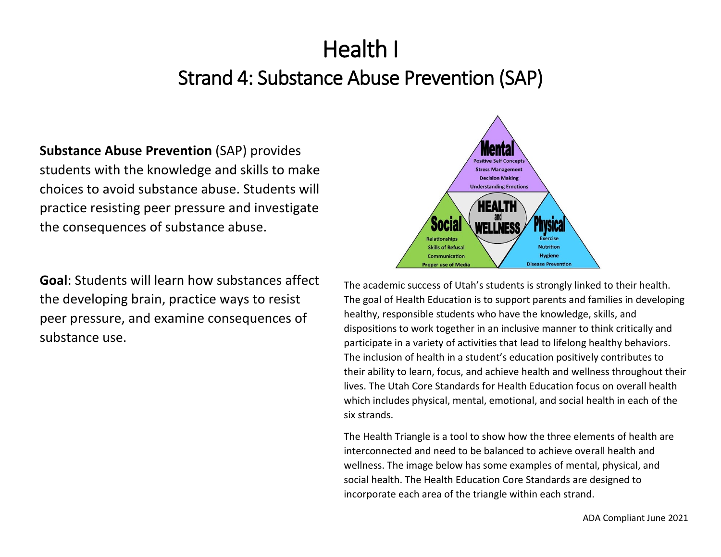# Health I Strand 4: Substance Abuse Prevention (SAP)

**Substance Abuse Prevention** (SAP) provides students with the knowledge and skills to make choices to avoid substance abuse. Students will practice resisting peer pressure and investigate the consequences of substance abuse.

**Goal**: Students will learn how substances affect the developing brain, practice ways to resist peer pressure, and examine consequences of substance use.



The academic success of Utah's students is strongly linked to their health. The goal of Health Education is to support parents and families in developing healthy, responsible students who have the knowledge, skills, and dispositions to work together in an inclusive manner to think critically and participate in a variety of activities that lead to lifelong healthy behaviors. The inclusion of health in a student's education positively contributes to their ability to learn, focus, and achieve health and wellness throughout their lives. The Utah Core Standards for Health Education focus on overall health which includes physical, mental, emotional, and social health in each of the six strands.

The Health Triangle is a tool to show how the three elements of health are interconnected and need to be balanced to achieve overall health and wellness. The image below has some examples of mental, physical, and social health. The Health Education Core Standards are designed to incorporate each area of the triangle within each strand.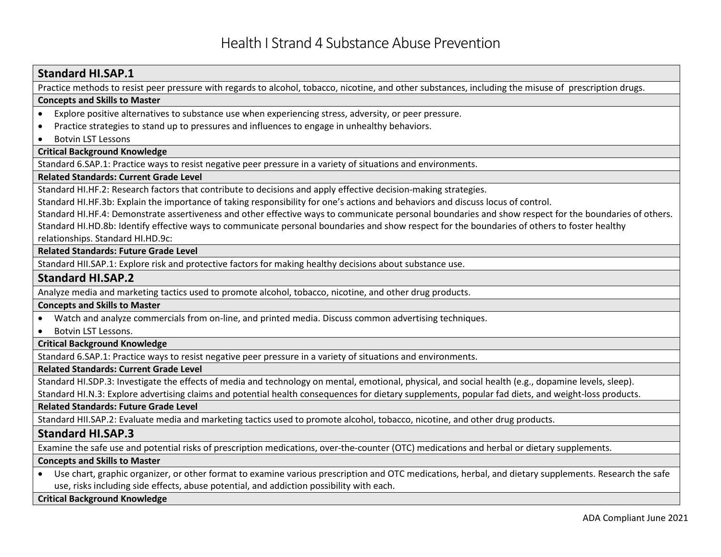# **Standard HI.SAP.1**

Practice methods to resist peer pressure with regards to alcohol, tobacco, nicotine, and other substances, including the misuse of prescription drugs.

#### **Concepts and Skills to Master**

- Explore positive alternatives to substance use when experiencing stress, adversity, or peer pressure.
- Practice strategies to stand up to pressures and influences to engage in unhealthy behaviors.
- Botvin LST Lessons

#### **Critical Background Knowledge**

Standard 6.SAP.1: Practice ways to resist negative peer pressure in a variety of situations and environments.

#### **Related Standards: Current Grade Level**

Standard HI.HF.2: Research factors that contribute to decisions and apply effective decision-making strategies.

Standard HI.HF.3b: Explain the importance of taking responsibility for one's actions and behaviors and discuss locus of control.

Standard HI.HF.4: Demonstrate assertiveness and other effective ways to communicate personal boundaries and show respect for the boundaries of others. Standard HI.HD.8b: Identify effective ways to communicate personal boundaries and show respect for the boundaries of others to foster healthy relationships. Standard HI.HD.9c:

#### **Related Standards: Future Grade Level**

Standard HII.SAP.1: Explore risk and protective factors for making healthy decisions about substance use.

## **Standard HI.SAP.2**

Analyze media and marketing tactics used to promote alcohol, tobacco, nicotine, and other drug products.

#### **Concepts and Skills to Master**

- Watch and analyze commercials from on-line, and printed media. Discuss common advertising techniques.
- Botvin LST Lessons.

#### **Critical Background Knowledge**

Standard 6.SAP.1: Practice ways to resist negative peer pressure in a variety of situations and environments.

#### **Related Standards: Current Grade Level**

Standard HI.SDP.3: Investigate the effects of media and technology on mental, emotional, physical, and social health (e.g., dopamine levels, sleep).

Standard HI.N.3: Explore advertising claims and potential health consequences for dietary supplements, popular fad diets, and weight-loss products.

#### **Related Standards: Future Grade Level**

Standard HII.SAP.2: Evaluate media and marketing tactics used to promote alcohol, tobacco, nicotine, and other drug products.

# **Standard HI.SAP.3**

Examine the safe use and potential risks of prescription medications, over-the-counter (OTC) medications and herbal or dietary supplements.

#### **Concepts and Skills to Master**

• Use chart, graphic organizer, or other format to examine various prescription and OTC medications, herbal, and dietary supplements. Research the safe use, risks including side effects, abuse potential, and addiction possibility with each.

#### **Critical Background Knowledge**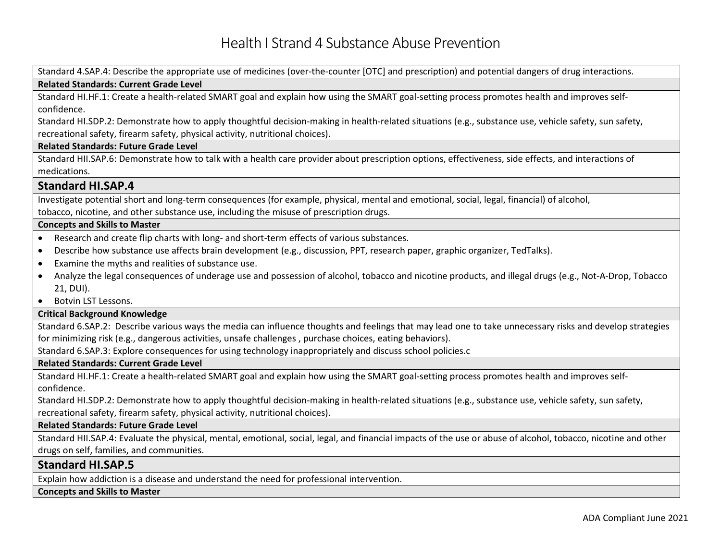Standard 4.SAP.4: Describe the appropriate use of medicines (over-the-counter [OTC] and prescription) and potential dangers of drug interactions. **Related Standards: Current Grade Level** Standard HI.HF.1: Create a health-related SMART goal and explain how using the SMART goal-setting process promotes health and improves selfconfidence. Standard HI.SDP.2: Demonstrate how to apply thoughtful decision-making in health-related situations (e.g., substance use, vehicle safety, sun safety, recreational safety, firearm safety, physical activity, nutritional choices). **Related Standards: Future Grade Level**  Standard HII.SAP.6: Demonstrate how to talk with a health care provider about prescription options, effectiveness, side effects, and interactions of medications. **Standard HI.SAP.4** Investigate potential short and long-term consequences (for example, physical, mental and emotional, social, legal, financial) of alcohol, tobacco, nicotine, and other substance use, including the misuse of prescription drugs. **Concepts and Skills to Master**  • Research and create flip charts with long- and short-term effects of various substances. • Describe how substance use affects brain development (e.g., discussion, PPT, research paper, graphic organizer, TedTalks). • Examine the myths and realities of substance use. • Analyze the legal consequences of underage use and possession of alcohol, tobacco and nicotine products, and illegal drugs (e.g., Not-A-Drop, Tobacco 21, DUI). • Botvin LST Lessons. **Critical Background Knowledge** Standard 6.SAP.2: Describe various ways the media can influence thoughts and feelings that may lead one to take unnecessary risks and develop strategies for minimizing risk (e.g., dangerous activities, unsafe challenges , purchase choices, eating behaviors). Standard 6.SAP.3: Explore consequences for using technology inappropriately and discuss school policies.c **Related Standards: Current Grade Level** Standard HI.HF.1: Create a health-related SMART goal and explain how using the SMART goal-setting process promotes health and improves selfconfidence. Standard HI.SDP.2: Demonstrate how to apply thoughtful decision-making in health-related situations (e.g., substance use, vehicle safety, sun safety, recreational safety, firearm safety, physical activity, nutritional choices). **Related Standards: Future Grade Level** Standard HII.SAP.4: Evaluate the physical, mental, emotional, social, legal, and financial impacts of the use or abuse of alcohol, tobacco, nicotine and other drugs on self, families, and communities. **Standard HI.SAP.5** Explain how addiction is a disease and understand the need for professional intervention.

**Concepts and Skills to Master**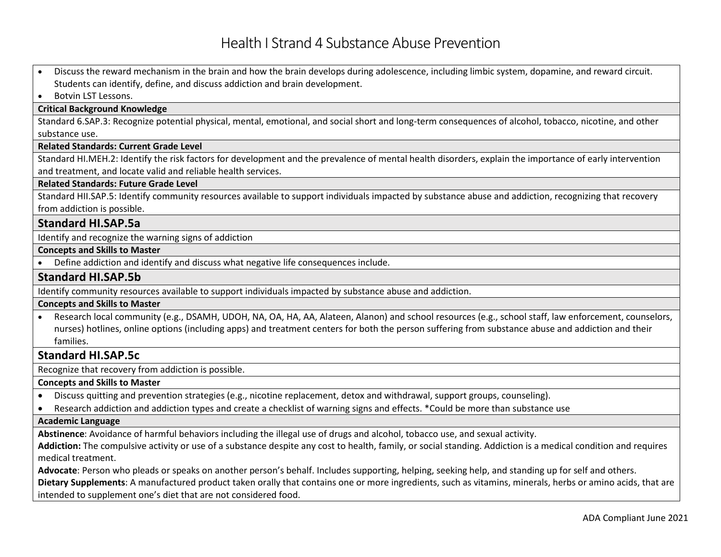# Health I Strand 4 Substance Abuse Prevention

• Discuss the reward mechanism in the brain and how the brain develops during adolescence, including limbic system, dopamine, and reward circuit. Students can identify, define, and discuss addiction and brain development.

• Botvin LST Lessons.

#### **Critical Background Knowledge**

Standard 6.SAP.3: Recognize potential physical, mental, emotional, and social short and long-term consequences of alcohol, tobacco, nicotine, and other substance use.

#### **Related Standards: Current Grade Level**

Standard HI.MEH.2: Identify the risk factors for development and the prevalence of mental health disorders, explain the importance of early intervention and treatment, and locate valid and reliable health services.

#### **Related Standards: Future Grade Level**

Standard HII.SAP.5: Identify community resources available to support individuals impacted by substance abuse and addiction, recognizing that recovery from addiction is possible.

# **Standard HI.SAP.5a**

Identify and recognize the warning signs of addiction

#### **Concepts and Skills to Master**

• Define addiction and identify and discuss what negative life consequences include.

## **Standard HI.SAP.5b**

Identify community resources available to support individuals impacted by substance abuse and addiction.

#### **Concepts and Skills to Master**

• Research local community (e.g., DSAMH, UDOH, NA, OA, HA, AA, Alateen, Alanon) and school resources (e.g., school staff, law enforcement, counselors, nurses) hotlines, online options (including apps) and treatment centers for both the person suffering from substance abuse and addiction and their families.

# **Standard HI.SAP.5c**

Recognize that recovery from addiction is possible.

# **Concepts and Skills to Master**

- Discuss quitting and prevention strategies (e.g., nicotine replacement, detox and withdrawal, support groups, counseling).
- Research addiction and addiction types and create a checklist of warning signs and effects. \*Could be more than substance use

#### **Academic Language**

**Abstinence**: Avoidance of harmful behaviors including the illegal use of drugs and alcohol, tobacco use, and sexual activity.

**Addiction:** The compulsive activity or use of a substance despite any cost to health, family, or social standing. Addiction is a medical condition and requires medical treatment.

**Advocate**: Person who pleads or speaks on another person's behalf. Includes supporting, helping, seeking help, and standing up for self and others.

**Dietary Supplements**: A manufactured product taken orally that contains one or more ingredients, such as vitamins, minerals, herbs or amino acids, that are intended to supplement one's diet that are not considered food.